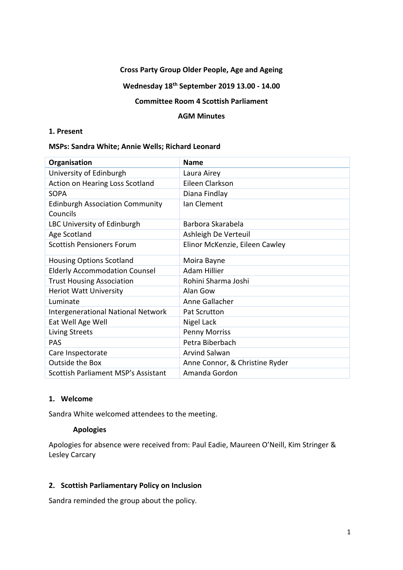### **Cross Party Group Older People, Age and Ageing**

# **Wednesday 18th September 2019 13.00 - 14.00**

## **Committee Room 4 Scottish Parliament**

#### **AGM Minutes**

### **1. Present**

#### **MSPs: Sandra White; Annie Wells; Richard Leonard**

| Organisation                               | <b>Name</b>                    |
|--------------------------------------------|--------------------------------|
| University of Edinburgh                    | Laura Airey                    |
| Action on Hearing Loss Scotland            | Eileen Clarkson                |
| <b>SOPA</b>                                | Diana Findlay                  |
| <b>Edinburgh Association Community</b>     | Ian Clement                    |
| Councils                                   |                                |
| LBC University of Edinburgh                | Barbora Skarabela              |
| Age Scotland                               | Ashleigh De Verteuil           |
| <b>Scottish Pensioners Forum</b>           | Elinor McKenzie, Eileen Cawley |
| <b>Housing Options Scotland</b>            | Moira Bayne                    |
| <b>Elderly Accommodation Counsel</b>       | <b>Adam Hillier</b>            |
| <b>Trust Housing Association</b>           | Rohini Sharma Joshi            |
| Heriot Watt University                     | Alan Gow                       |
| Luminate                                   | Anne Gallacher                 |
| <b>Intergenerational National Network</b>  | <b>Pat Scrutton</b>            |
| Eat Well Age Well                          | Nigel Lack                     |
| <b>Living Streets</b>                      | <b>Penny Morriss</b>           |
| <b>PAS</b>                                 | Petra Biberbach                |
| Care Inspectorate                          | <b>Arvind Salwan</b>           |
| Outside the Box                            | Anne Connor, & Christine Ryder |
| <b>Scottish Parliament MSP's Assistant</b> | Amanda Gordon                  |

# **1. Welcome**

Sandra White welcomed attendees to the meeting.

### **Apologies**

Apologies for absence were received from: Paul Eadie, Maureen O'Neill, Kim Stringer & Lesley Carcary

### **2. Scottish Parliamentary Policy on Inclusion**

Sandra reminded the group about the policy.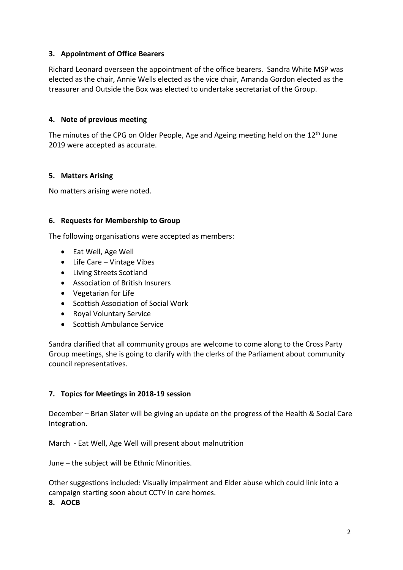# **3. Appointment of Office Bearers**

Richard Leonard overseen the appointment of the office bearers. Sandra White MSP was elected as the chair, Annie Wells elected as the vice chair, Amanda Gordon elected as the treasurer and Outside the Box was elected to undertake secretariat of the Group.

### **4. Note of previous meeting**

The minutes of the CPG on Older People, Age and Ageing meeting held on the 12<sup>th</sup> June 2019 were accepted as accurate.

### **5. Matters Arising**

No matters arising were noted.

### **6. Requests for Membership to Group**

The following organisations were accepted as members:

- Eat Well, Age Well
- Life Care Vintage Vibes
- Living Streets Scotland
- Association of British Insurers
- Vegetarian for Life
- Scottish Association of Social Work
- Royal Voluntary Service
- Scottish Ambulance Service

Sandra clarified that all community groups are welcome to come along to the Cross Party Group meetings, she is going to clarify with the clerks of the Parliament about community council representatives.

### **7. Topics for Meetings in 2018-19 session**

December – Brian Slater will be giving an update on the progress of the Health & Social Care Integration.

March - Eat Well, Age Well will present about malnutrition

June – the subject will be Ethnic Minorities.

Other suggestions included: Visually impairment and Elder abuse which could link into a campaign starting soon about CCTV in care homes.

#### **8. AOCB**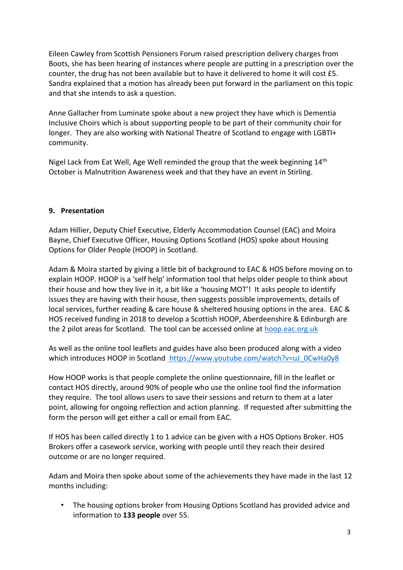Eileen Cawley from Scottish Pensioners Forum raised prescription delivery charges from Boots, she has been hearing of instances where people are putting in a prescription over the counter, the drug has not been available but to have it delivered to home it will cost £5. Sandra explained that a motion has already been put forward in the parliament on this topic and that she intends to ask a question.

Anne Gallacher from Luminate spoke about a new project they have which is Dementia Inclusive Choirs which is about supporting people to be part of their community choir for longer. They are also working with National Theatre of Scotland to engage with LGBTI+ community.

Nigel Lack from Eat Well, Age Well reminded the group that the week beginning  $14<sup>th</sup>$ October is Malnutrition Awareness week and that they have an event in Stirling.

# **9. Presentation**

Adam Hillier, Deputy Chief Executive, Elderly Accommodation Counsel (EAC) and Moira Bayne, Chief Executive Officer, Housing Options Scotland (HOS) spoke about Housing Options for Older People (HOOP) in Scotland.

Adam & Moira started by giving a little bit of background to EAC & HOS before moving on to explain HOOP. HOOP is a 'self help' information tool that helps older people to think about their house and how they live in it, a bit like a 'housing MOT'! It asks people to identify issues they are having with their house, then suggests possible improvements, details of local services, further reading & care house & sheltered housing options in the area. EAC & HOS received funding in 2018 to develop a Scottish HOOP, Aberdeenshire & Edinburgh are the 2 pilot areas for Scotland. The tool can be accessed online at hoop.eac.org.uk

As well as the online tool leaflets and guides have also been produced along with a video which introduces HOOP in Scotland https://www.youtube.com/watch?v=uJ\_0CwHa0y8

How HOOP works is that people complete the online questionnaire, fill in the leaflet or contact HOS directly, around 90% of people who use the online tool find the information they require. The tool allows users to save their sessions and return to them at a later point, allowing for ongoing reflection and action planning. If requested after submitting the form the person will get either a call or email from EAC.

If HOS has been called directly 1 to 1 advice can be given with a HOS Options Broker. HOS Brokers offer a casework service, working with people until they reach their desired outcome or are no longer required.

Adam and Moira then spoke about some of the achievements they have made in the last 12 months including:

• The housing options broker from Housing Options Scotland has provided advice and information to **133 people** over 55.